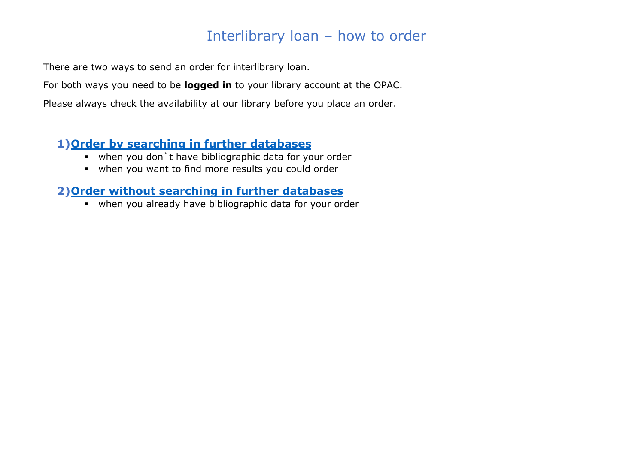There are two ways to send an order for interlibrary loan.

For both ways you need to be **logged in** to your library account at the OPAC.

Please always check the availability at our library before you place an order.

### **1)Order by searching in [further databases](#page-1-0)**

- when you don`t have bibliographic data for your order
- when you want to find more results you could order

### **2[\)Order without searching in further databases](#page-4-0)**

when you already have bibliographic data for your order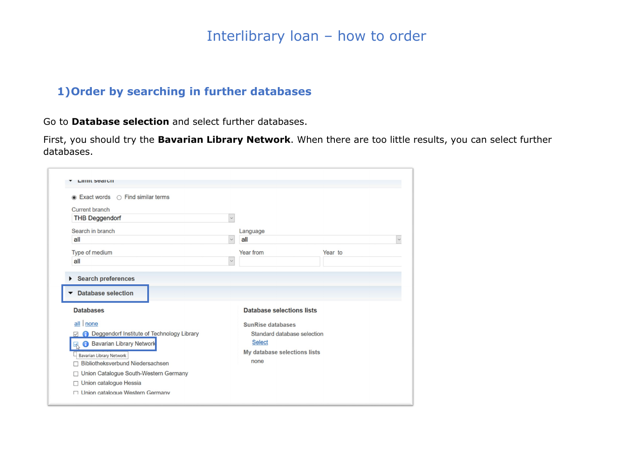### <span id="page-1-0"></span>**1)Order by searching in further databases**

Go to **Database selection** and select further databases.

First, you should try the **Bavarian Library Network**. When there are too little results, you can select further databases.

| $\bigcirc$ Find similar terms<br><b>Exact words</b><br>$\odot$  |                                  |         |  |
|-----------------------------------------------------------------|----------------------------------|---------|--|
| <b>Current branch</b>                                           |                                  |         |  |
| <b>THB Deggendorf</b>                                           | $\checkmark$                     |         |  |
| Search in branch                                                | Language                         |         |  |
| all                                                             | all<br>$\checkmark$              |         |  |
| Type of medium                                                  | Year from                        | Year to |  |
| all                                                             | $\check{~}$                      |         |  |
| Search preferences<br><b>Database selection</b>                 |                                  |         |  |
| <b>Databases</b>                                                | <b>Database selections lists</b> |         |  |
| all   none                                                      | <b>SunRise databases</b>         |         |  |
| Deggendorf Institute of Technology Library<br>$\checkmark$      | Standard database selection      |         |  |
| <b>Bavarian Library Network</b><br>ℝ                            | <b>Select</b>                    |         |  |
| <b>Bavarian Library Network</b>                                 | My database selections lists     |         |  |
| <b>Bibliotheksverbund Niedersachsen</b>                         | none                             |         |  |
| Union Catalogue South-Western Germany<br>Union catalogue Hessia |                                  |         |  |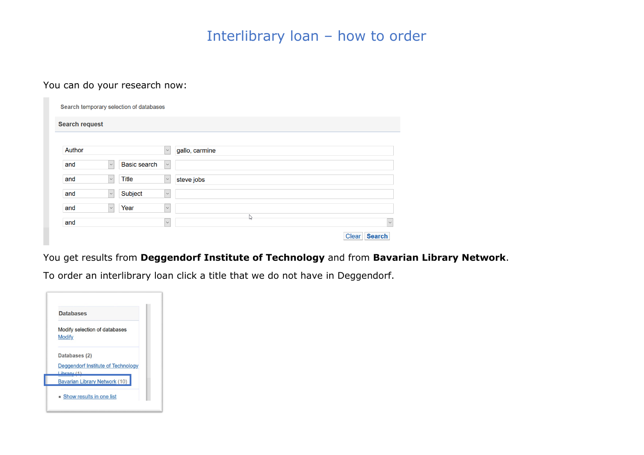#### You can do your research now:

|                       |                  | Search temporary selection of databases |                  |                   |
|-----------------------|------------------|-----------------------------------------|------------------|-------------------|
| <b>Search request</b> |                  |                                         |                  |                   |
| Author                |                  |                                         | $\smallsetminus$ | gallo, carmine    |
| and                   | $\smallsetminus$ | <b>Basic search</b>                     | $\check{~}$      |                   |
| and                   | $\checkmark$     | <b>Title</b>                            | $\checkmark$     | steve jobs        |
| and                   | $\checkmark$     | Subject                                 | $\checkmark$     |                   |
| and                   | $\checkmark$     | Year                                    | $\checkmark$     |                   |
| and                   |                  |                                         | $\checkmark$     | ピ<br>$\checkmark$ |

#### You get results from **Deggendorf Institute of Technology** and from **Bavarian Library Network**.

To order an interlibrary loan click a title that we do not have in Deggendorf.

| <b>Databases</b> |                                      |
|------------------|--------------------------------------|
| <b>Modify</b>    | Modify selection of databases        |
| Databases (2)    |                                      |
| Linear(1)        | Deggendorf Institute of Technology   |
|                  | <b>Bavarian Library Network (10)</b> |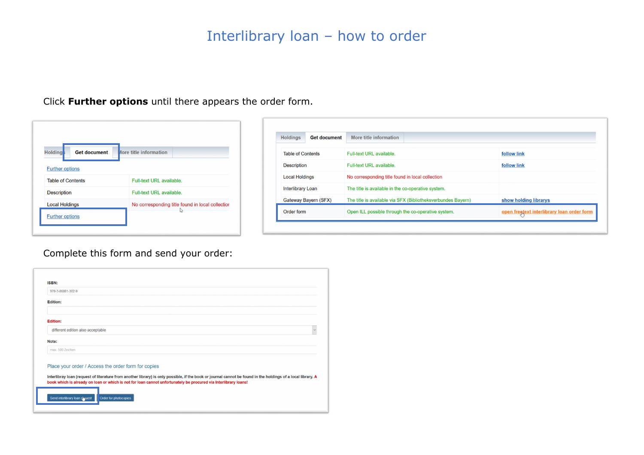Click **Further options** until there appears the order form.



| Order form               |                      | Open ILL possible through the co-operative system.           | open freetext interlibrary loan order form |
|--------------------------|----------------------|--------------------------------------------------------------|--------------------------------------------|
|                          | Gateway Bayern (SFX) | The title is available via SFX (Bibliotheksverbundes Bayern) | show holding librarys                      |
| <b>Interlibrary Loan</b> |                      | The title is available in the co-operative system.           |                                            |
| <b>Local Holdings</b>    |                      | No corresponding title found in local collection             |                                            |
| <b>Description</b>       |                      | Full-text URL available.                                     | <b>follow link</b>                         |
| <b>Table of Contents</b> |                      | Full-text URL available.                                     | <b>follow</b> link                         |
| <b>Holdings</b>          | <b>Get document</b>  | More title information                                       |                                            |

Complete this form and send your order:

| <b>ISBN:</b>                      |                                                                                                                                                              |
|-----------------------------------|--------------------------------------------------------------------------------------------------------------------------------------------------------------|
| 978-3-86881-302-9                 |                                                                                                                                                              |
| Edition:                          |                                                                                                                                                              |
|                                   |                                                                                                                                                              |
| <b>Edition:</b>                   |                                                                                                                                                              |
| different edition also acceptable |                                                                                                                                                              |
| Note:                             |                                                                                                                                                              |
| max. 500 Zeichen                  |                                                                                                                                                              |
|                                   | Place your order / Access the order form for copies                                                                                                          |
|                                   | Interlibray loan (request of literature from another library) is only possible, if the book or journal cannot be found in the holdings of a local library. A |
|                                   |                                                                                                                                                              |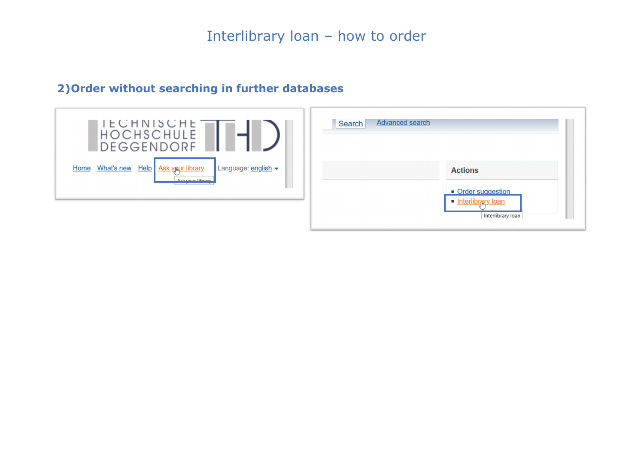| <b>ILCHNISCHE</b><br>HOCHSCHULE<br>DEGGENDORF                                                                                     | <b>Advanced search</b><br>Search                                    |
|-----------------------------------------------------------------------------------------------------------------------------------|---------------------------------------------------------------------|
| $He$ <sub><math>p</math></sub><br>What's new<br>Language: english v<br><b>Ask your library</b><br><b>Home</b><br>Ack your library | <b>Actions</b>                                                      |
|                                                                                                                                   | • Order suggestion<br><b>Interlibrary loan</b><br>Interlibrary loan |

## <span id="page-4-0"></span>**2)Order without searching in further databases**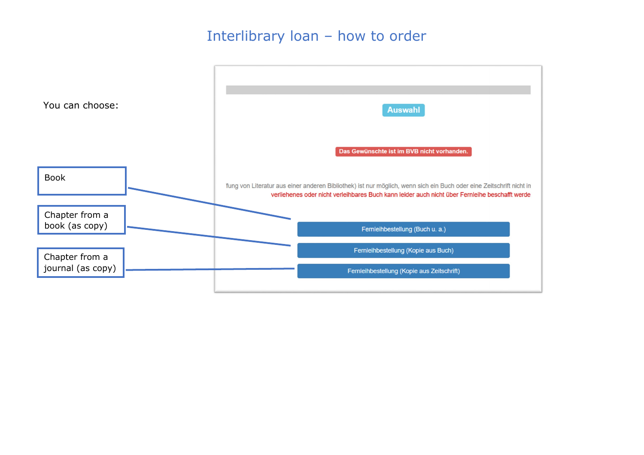